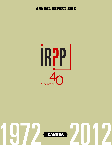## **annual report 2013**



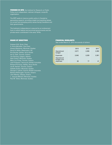**FOUNDED IN 1972**, the Institute for Research on Public Policy is an independent, national, bilingual, nonprofit organization.

The IRPP seeks to improve public policy in Canada by generating research, providing insight and sparking debate on current and emerging policy issues facing Canadians and their governments.

The Institute's independence is assured by an endowment fund, to which federal and provincial governments and the private sector contributed in the early 1970s.

## **Board of Directors**

## Graham W.S. Scott, Chair A. Anne McLellan, Vice-Chair Howard Bergman, Montreal, Quebec David N. Biette, Washington, DC Kim Brooks, Halifax, Nova Scotia Ian D. Clark, Toronto, Ontario Jim Dinning, Calgary, Alberta Alain Dubuc, Montreal, Quebec Mary Lou Finlay, Toronto, Ontario Jock Finlayson, Vancouver, British Columbia Richard Florizone, Halifax, Nova Scotia Lea B. Hansen, Toronto, Ontario Isabelle Hudon, Montreal, Quebec George E. Lafond, Victoria, British Columbia Barbara McDougall, Toronto, Ontario John Manley, Ottawa, Ontario L. Jacques Ménard, Montreal, Quebec Paul M. Tellier, Montreal, Quebec

## **Financial Highlights**

Year ended March 31, 2012 (thousands of dollars)

|                                        | 2013  | 2012  | 2011  |
|----------------------------------------|-------|-------|-------|
| Operational<br>budget                  | 2,571 | 2,306 | 2,392 |
| Expenses                               | 2,545 | 2,229 | 2,351 |
| Operational<br>budget over<br>expenses | 26    | 77    | 41    |
|                                        |       |       |       |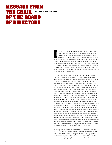## **Message from the Chair of the Board of Directors Graham Scott, June 2013**

In the occasion of the IRPP to celebrate yet another year of innovative policy research and thought-provoking events. Anniversary years can take on an aura of special significance, and we used the occasion of our 40th year t is with great pleasure that I am able to use my first report as chair of the IRPP to celebrate yet another year of innovative policy research and thought-provoking events. Anniversary years can take on an aura of special significance, and we used we have made over that time in stimulating debate about – and improving – Canadian public policy. But the IRPP has always preferred to look forward, not back, and we marked our anniversary with internal improvements and an aggressive outreach that took us to every region of the country, expanded our networks and enriched our thinking on emerging policy challenges.

The year was one of transition on the Board of Directors. Howard Bergman, a member of the Institute for two consecutive terms, resigned from that role. I am pleased that he has agreed to continue with the IRPP as a Board member. We are losing four members of the Board and two members of the Investment Committee. Jim Dinning, chancellor of the University of Calgary, who was a member of the Alberta Legislative Assembly for 11 years, is stepping down from the Board after a 6-year term. Isabelle Hudon, an enthusiastic supporter of the Institute's mandate, left the Board in December 2012 for personal reasons. John Manley, currently chief executive of the Canadian Council of Chief Executives, who was first elected to Parliament in 1988 and re-elected three times and served as deputy minister and minister of industry, foreign affairs and finance under Jean Chrétien between 1993 and 2003, is leaving the Board after a 7-year term. After 8 years of dedicated service, Barbara McDougall is stepping down. As chair of the Governance Committee, Barbara led the Board's governance renewal process and served on the Investment Committee. Her extensive experience in government and public policy – her expertise in governance, in particular – was an incredible asset to the Institute. Alf Wirth has left the Investment Committee after 9 years as a member of the Board and 11 years as a non-Board member of the Investment Committee. Lastly, Hugh Cleland has left after 10 years as a non-Board member of the Investment Committee. We thank all six for their dedicated service and support. On behalf of the Board, I would also like to congratulate director Richard Florizone on his appointment as president of Dalhousie University.

In closing, sincere thanks to our president, Graham Fox, our vicechair, Anne McLellan, Board directors and staff for their continued efforts to make the Institute the go-to think tank for high-quality, evidence-based public policy research and debate. If the past 40 years is anything to go by, the future looks bright for the IRPP.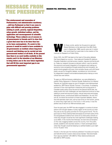## **Graham Fox, Montreal, June 2013**

## **Message from the President**

**"The reinforcement and renovation of Parliamentary and administrative machinery ...will free Parliament so that it can come to grips with difficult and pressing problems relating to youth, poverty, regional disparities, urban growth, individual welfare, and the application and encouragement of scientific technology. These subjects are of concern to all governments in Canada and it is clear that a great deal more has to be done than has so far been contemplated...To assist in this process it would be useful to have available to all governments an institute where long-term research and thinking can be carried out into governmental matters of all kinds. At the present time there is no such facility available in this country and it is the intention of my Ministers to bring before you in the near future legislation that will fill this most important gap in our governmental apparatus."**

ith these words, spoken by the governor general,<br>
Roland Michener, at the opening of the 28th Parlia<br>
ment in September 1968, events were set in mot<br>
that would lead four years later to the creation of lestitute<br> **Separate** Roland Michener, at the opening of the 28th Parliament in September 1968, events were set in motion that would lead four years later to the creation of the Institute for Research on Public Policy.

Since 1972, the IRPP has been at the heart of the policy debates that have shaped our country – free trade and Canada-US relations; Canadian federalism and democracy; taxation, daycare and family policy. Today our research focuses on pension reform, care for seniors, the economic and social integration of immigrants and making our economy more competitive through productivity and innovation. As governments grapple with ever more complex issues, and with fewer public venues for thoughtful debate, we believe our commitment to independent research and evidence-based policy-making is more critical than ever before.

To open our 40th-anniversary celebrations, we were delighted to publish *Policy Signposts in Postwar Canada: Reflections of a Market Populist*, an important essay by one of Canada's most distinguished academics, IRPP Senior Scholar Thomas J. Courchene. A sweeping overview of the most significant milestones and turning points in Canadian public policy since the end of the Second World War, the essay covers the main challenges we have faced and continue to face relating to social and economic policy, natural resources and energy, Aboriginal issues, constitutional affairs and federalism. As only Tom can do, he traces the evolution of these important debates, draws the links between them and, with an eye firmly on the horizon, points to where they might lead us in the future. In this sense, it was the perfect way to launch our 40th-anniversary year.

Over the past year, the IRPP has also engaged in a series of conversations with thought leaders in every region of the country on what they see as the top policy priorities for future governments. The August issue of *Policy Options* featured essays by eminent policy thinkers and graduate students from some of our best policy schools on what they thought would be the most significant challenges leading up to 2020. In the months that followed, we took that conversation on the road, engaging leaders across the country, from the public, private, academic and voluntary sectors, in frank exchanges about what they thought would be keeping our political leaders up at night in 5 to 10 years' time.

Overall, in the last year the Institute published 14 studies and reports and held 20 events in seven cities across Canada. Total downloads from irpp.org reached 1,941,600 for *Policy Options* articles and 507,330 for IRPP studies.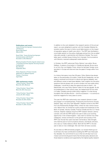#### **Publications and events**

*Issues Arising from Improper Communications with Electors* **Round Table Report (March 2013)**

**Round Table: "Issues Arising from Improper Communications with Electors" December 5, 2012, Montreal**

**Winning Canadian Priorities Agenda student essay: "A Canadian Priorities Agenda: Securing Canada's Fundamentals" Ryan Nichols (September 2012)**

*Policy Signposts in Postwar Canada: Reflections of a Market Populist* **Thomas J. Courchene (April 2012)**

#### **40th anniversary events "Policy Priorities" Round Table**

**March 26, 2013, Montreal**

**"Policy Priorities" Round Table March 20, 2013, Vancouver**

**"Policy Priorities" Round Table January 29, 2013, Calgary**

**"Policy Priorities" Round Table November 28, 2012, Halifax**

**"Policy Priorities" Round Table November 13, 2012, Toronto** 

In addition to the work detailed in the research section of this annual report, we were delighted to partner with the Canadian Medical Association earlier this year to hold a round table session on the impact of population aging on health care reform. The IRPP also facilitated a round table session on the policy challenges arising from the so-called robo-calls scandal, in partnership with Elections Canada. The round table report, entitled *Issues Arising from Improper Communications with Electors*, received widespread media attention.

In October, the IRPP welcomed *Policy Options*' new editor, Bruce Wallace. A veteran of journalism in Canada and abroad, Bruce came to us from the *Los Angeles Times*, where he had been foreign correspondent in Europe and Asia and was the paper's foreign editor from 2008.

In a history that spans more than 30 years, *Policy Options* has always taken on the personality of its editor. Under Bruce's leadership, we can expect a renewed commitment to robust and rigorous debates, new and different voices to lead these debates, fresh insights into the policy questions that are always with us and a window into new public policy challenges. I would like to take this opportunity also to thank L. Ian MacDonald, who was *Policy Options*' editor for the last decade. As did his predecessors in their various ways, Ian helped build *PO* into what it is today: Canada's premier public policy magazine. It is that strong foundation that will allow Bruce — and his successors — to continue to build the magazine for many years to come.

This year the IRPP also welcomed a new research director to lead the program on Competitiveness, Productivity and Economic Growth, Stephen Tapp, who joins Tyler Meredith. Stephen comes to the IRPP from the Parliamentary Budget Office, where he was a senior economist. Before that, he worked as a policy analyst and researcher at the Bank of Canada, Industry Canada, Finance Canada and the C.D. Howe Institute. Stephen replaces long-time IRPP research director Jeremy Leonard, who left the IRPP earlier this year to take up an exciting opportunity in the United Kingdom. I also want to mention two other colleagues, whose contribution to the growth and success of the IRPP over the last few years has been tremendous: Kate Shingler, who held the post of communications director, and Nicola Johnston, who was our media relations officer. Both left the IRPP in the last year to take on new challenges. We wish them all every success.

As we close our 40th-anniversary program, our sincere thanks go out to all those who have contributed to building the IRPP over these past four decades. Our commitment to you is that we will stay true to our mission and remind all governments that the best policy decisions are those based on evidence and supported by the highest-quality research.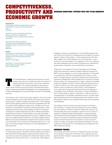# **Competitiveness, Productivity and Economic Growth**

#### **Publications**

*A Technology-Led Climate Change Policy for Canada* **Isabel Galiana, Jeremy Leonard and Christopher Green (July 2012)**

*Global Value Chains and Canada's Trade Policy: Business as Usual or Paradigm Shift?* **Ari Van Assche, with a commentary by Todd Evans (June 2012)**

*Dutch Disease or Failure to Compete? A Diagnosis of Canada's Manufacturing Woes* **Mohammad Shakeri, Richard Gray and Jeremy Leonard (May 2012)**

#### **Events**

**Working Lunch: "Global Value Chains and Canada's Trade Policy: Business as Usual or Paradigm Shift?" Panellists: Ari Van Assche, Michael Hart and Todd Evans October 17, 2012, Ottawa**

**Round Table: "Provincial Economic Prospects" Invited experts and policy-makers April 17, 2012, Montreal**

**THE COMPETITIVE ALL SECTION CONSUMING THE COMPUTER THE COMPUTER CONDUCT AND ALL SECTION OF CARACTER OF CONDUCT AND A CONDUCT AND CONDUCT A CONDUCT AND CONDUCT A CONDUCT A CONDUCT AND CONDUCT A CONDUCT AND CONDUCT A CONDUC** program examines how Canada can foster and sustain the economic growth that serves to improve the well-being of Canadians. The research addresses a wide range of issues, which include improving innovation and productivity performance, capturing the benefits of globalization and changing patterns of trade, and adapting to structural changes occurring in the Canadian economy.

The Institute's role in informing key policy debates in the country was vividly illustrated during the major political controversy that erupted last spring over whether Canada was suffering from "Dutch disease," and the vastly opposing views the controversy engendered over the link between high energy/commodity prices, Canadian currency appreciation and the decline in Ontario's manufacturing sector. In their important and timely study, *Dutch Disease or Failure to Compete? A Diagnosis of Canada's Manufacturing Woes*, Mohammad Shakeri, Richard Gray and Jeremy Leonard present a nuanced and detailed analysis of manufacturing performance by sector. In addition to bringing much-needed empirical evidence to this highly charged political debate, their study fundamentally changed how the public conversation was framed. Their conclusion that Canada presents only a "mild case" of the Dutch disease has become an often-repeated point in public discourse.

Related to this and other work in the research program on productivity and economic growth, the IRPP convened a special round table in early April 2012 to bring together experts and policy-makers to discuss the future economic prospects for Ontario and Quebec and the implications for the economic union. In the early fall, *Policy Options*

published a series of commentaries on how the federal government can fulfill its commitment to increase government support for venture capital in Canada. These articles – which included one by Tyler Meredith, together with James Brander and Thomas Hellmann – were among the most downloaded in the magazine in 2012. The measures that were subsequently announced by the government reflected the broad outlines of practices recommended by the contributors.

Trade policy is once again at the top of the agenda, as the federal government attempts to diversify Canada's trade flows beyond the NAFTA zone by engaging in a host of trade negotiations. The benefits to be derived from any future trade agreements, however, will depend on Canada's ability to articulate a coherent and comprehensive trade policy strategy that is better aligned with its economic interests. Recent research on changing patterns of trade, investment and global production suggests we need to rethink traditional trade policy so as to take into account more than import and export balances. Ari Van Assche's study on global value chains (GVCs), which appeared in June, examines the supply chain phenomenon and its implications for Canadian trade. According to Van Assche, to reap the benefits of GVCs, Canada needs to adjust its trade policy in order to improve its competitiveness in the globally networked economy. This also means that Canada should focus on developing high-value industries, while allowing other tasks to move to places where they can be conducted most efficiently.

The release of the Van Assche study was followed in the fall by a policy luncheon on supply chains and trade policy held in collaboration with Carleton University's Centre for Trade Policy and Law. This well-attended public event provided an opportunity for the author to present his research findings and participate in a panel discussion with Michael Hart (Norman Paterson School of International Affairs, Carleton University) and Todd Evans (Export Development Canada). It also confirmed the need for more research on this crucial challenge for Canada. The studies by Van Assche and Shakeri, Gray and Leonard were among the four most frequently downloaded from the IRPP's Web site this year.

## **Emerging themes**

The Institute will continue to focus on trade policy issues, with studies on Canada's foreign direct investment rules, potential economic opportunities for Canada in ongoing trade negotiations and the role of industrial policy.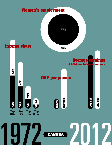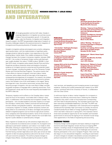## **Diversity, Immigration and Integration Research Director: F. Leslie Seidle**

#### **Events**

**2nd Canada-Australia Round Table on Foreign Qualification Recognition March 20-22, 2013, Vancouver**

**Workshop: "Temporary Foreign Workers – Recent Research and Current Policy Issues" (part of the 15th National Metropolis Conference) Panellists: David Manicom, Christopher Worswick, Jelena Atanackovic and Ivy Lynn Bourgeault March 14, 2013, Ottawa**

**Authors' Workshop: "The Impact of Precarious Legal Status on Immigrants' Economic Outcomes" Panellists: Luin Goldring, Patricia Landolt, Monica Boyd and Debbie Douglas November 29, 2012, Toronto**

**Working Lunch: "Alberta's Human Capital Challenges" Panellists: Anne McLellan, Ken Kobly and F. Leslie Seidle June 5, 2012, Edmonton**

**Working Lunch: "Making It in Canada: Immigration Outcomes and Policies" Panellists: Arthur Sweetman, Garnett Picot and Ratna Omidvar May 1, 2012, Ottawa**

**Experts' Round Table: "Temporary Migration and the Canadian Labour Market" April 30, 2012, Ottawa**

ith its aging population and low birth rates, Canada in-<br>
creasingly depends on immigration as a primary source<br>
of labour force and population growth. In the past de-<br>
cade, under the Diversity, Immigration and Integratio creasingly depends on immigration as a primary source of labour force and population growth. In the past deresearch program, the IRPP has generated a large body of research on the policy challenges related to the social and economic integration of immigrants and the growing diversity of Canadian society.

Canada's immigration policies and programs are currently undergoing rapid transformation, with the implementation of significant policy changes aimed at making the system more responsive to the most pressing labour market needs. One notable consequence of these changes has been the increase in temporary migration: between 2002 and 2011, the number of temporary foreign workers admitted each year roughly doubled, from about 110,000 to about 190,000. In their April 2012 study, immigration policy experts Garnett Picot and Arthur Sweetman provide an extensive review and analysis of empirical evidence on immigrant economic outcomes and the potential impact of recent changes, including the greater use of the Temporary Foreign Worker and Provincial Nominee Programs. The authors caution that in their efforts to improve immigrants' short-term labour market outcomes, policy-makers should not lose sight of the longer-term consequences and objectives of immigration. For instance, the children of immigrants generally have high educational and economic achievements, and Canada is one of the world leaders in this regard. Taking this longer-term view, the authors recommend, among other things, favouring younger immigrants, who are more likely to adapt, and placing greater emphasis on language skills in selecting newcomers. Picot and Sweetman's study was the one most frequently downloaded from the IRPP's Web site.

Temporary migration and its effects on the Canadian labour market were the focus of the experts' round table held in Ottawa in April 2012, in collaboration with Citizenship and Immigration Canada. The participants – who included academic and other experts on immigration and labour market policy; federal, provincial and territorial government officials; and graduate students – discussed current trends in temporary migration to Canada, whether temporary workers are being relied on too extensively to fill labour shortages and questions related to targeted programs such as those for agricultural workers, live-in caregivers and international students. Some of the criticisms of the Temporary Foreign Worker Program raised at the round table have figured in public debates on potential policy changes.

Many migrants to Canada end up with precarious legal status as a result of personal circumstances and a complex mix of programs and pathways to permanent residence; such status in turn leads to other difficulties. Drawing on original data from a survey of immigrant workers in the Greater Toronto Area, Luin Goldring and Patricia Landolt find that having uncertain legal status even early upon arrival can lead migrants to take low-paying precarious jobs and to be stuck in them, with poor economic prospects. The authors propose changes to mitigate these effects, including broadening the access to settle-

#### **Publications**

*2nd Canada-Australia Round Table on Foreign Qualification Recognition: Report* **Quinn Albaugh and F. Leslie Seidle (April 30, 2013)**

*"I Am Canadian": Challenging Stereotypes about Young Somali Canadians* **Rima Berns-McGown (January 2013)**

*The Impact of Precarious Legal Status on Immigrants' Economic Outcomes* **Luin Goldring and Patricia Landolt (October 2012)**

*Language Skills and the Social Integration of Canada's Adult Immigrants* **Tracey Derwing and Erin Waugh (May 2012)**

*Making It in Canada: Immigration Outcomes and Policies* **Garnett Picot and Arthur Sweetman (April 2012)**

ment services, and speeding up and increasing access to permanent residence. Goldring and Landolt presented their research at an IRPP authors' workshop held at the University of Toronto, in collaboration with the Cities Centre.

A well-known barrier to labour market integration for immigrants in Canada is the difficulty newcomers face in obtaining the credential recognition they need in order to find employment corresponding with their field of education/training. The Australian government has been exercising considerable leadership in this field. The IRPP was pleased to organize, in collaboration with Citizenship and Immigration Canada and the Australian High Commission to Canada, the second Canada-Australia Round Table on Foreign Qualification Recognition, which was held in Vancouver in spring 2013. This important international event provided an opportunity for the Canadian and Australian governments to announce the signing of two renewed mutual recognition agreements in the fields of engineering and accounting.

## **Emerging themes**

Temporary foreign worker programs and topics relating to longer-term economic and social integration remain the focus of ongoing IRPP research, including a study of intergenerational social mobility in Canada's Filipino community and a survey of challenges and outcomes faced by participants in the Live-in Caregiver Program. New work has also begun on civic and political integration, including an examination of recent changes to Canada's naturalization process and patterns of political involvement within immigrant-background communities.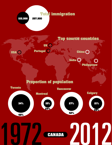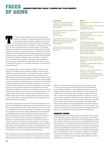The Faces of Aging program focuses on the social and<br>economic implications of population aging for public p<br>cy and society at large. Access to quality care for seni<br>is an issue that affects a growing number of Canadian<br>eit economic implications of population aging for public policy and society at large. Access to quality care for seniors is an issue that affects a growing number of Canadians, either directly as they themselves need care, or indirectly as they deal with the issue of providing care for an aging relative. The Institute organized a conference on innovations in home care at Simon Fraser University, Vancouver, in the spring of 2012, in collaboration with the Department of Gerontology and Gerontology Research Centre. Several noted experts on aging issues took part, including Neena Chappell, Kim Carter and Marcus Hollander. Also in Vancouver, in the fall of 2012, the health and social policy challenges related to eldercare were the focus of Nicole Bernier's presentation at a Health Council of Canada-IRPP session in the Canadian Association of Gerontology's annual conference.

**Faces** 

**of Aging**

The pressing need to improve access and quality in long-term care services in Canada has to be considered together with the means available to fund these services. In their study *Financing Long-Term Care in Canada* (one of the most frequently downloaded from the IRPP Web site this year), Michel Grignon and Nicole F. Bernier assess the main options for financing long-term care: private savings, private insurance and public universal insurance. On the basis of the available empirical evidence and economic analysis, they come out in favour of public universal insurance as the most cost-effective and equitable option. The study garnered considerable media attention and was subsequently released in French just as the Quebec government was announcing its plans to create an autonomy insurance program. This program would cover long-term care services provided at home to adults 18 years old and over, including professional services, home care and home help, as well as technical aids, home adaptation and support services for caregivers.

The ongoing debate about the future of Canada's retirement income system has highlighted the challenges facing defined-benefit pension plans, placing public sector plans under greater scrutiny. In his study on the federal public service pension plan, Bob Baldwin cuts through the hyperbole of much of the recent public discourse and assesses the federal plan against other private and public service pension plans, also taking into account longer-term human resource considerations. The study sets out a comprehensive agenda for reform beyond the measures already announced, reforms that could be a model for many other public sector plans. Baldwin's recommendations were the topic of a special round table convened by the IRPP in conjunction with the release of the study, with representatives from Treasury Board, the Office of the Superintendent of Financial Institutions, federal unions and other experts and stakeholders.

With many baby boomers reporting that they are considering relocating to another community or province upon retiring, there is surprisingly little research on seniors' migration in Canada and its potential

#### **Publications**

*Financer les soins de longue durée: une assurance privée ou publique?* **Michel Grignon and Nicole F. Bernier (February 2013)**

*The Federal Public Service Superannuation Plan: A Reform Agenda* **Bob Baldwin (December 2012)**

*Where Will You Retire? Seniors' Migration within Canada and Implications for Policy* **Bruce Newbold and Tyler Meredith (November 2012)**

*Financing Long-Term Care in Canada* **Michel Grignon and Nicole F. Bernier (June 2012)**

#### **Events**

**Working Lunch: "How Should We Pay for Eldercare?" Panellists: David M. Baker, Michel Grignon and Michael B. Decter February 20, 2013, Toronto**

**Round Table: "Future Options for the Public Service Pension Plan" Panellists: Bob Baldwin, Jim Lahey and Linda Duxbury December 3, 2012, Ottawa**

**IRPP-Health Council of Canada session: "Transforming Health and Social Care Policies in Light of Population Aging" (part of the Canadian Association on Gerontology 41st Annual and Scientific Meeting) Presenters: Nicole F. Bernier, John Abbott and Anne Martin-Mathews October 20, 2012, Vancouver**

**Working Lunch: "Financer les soins de longue durée en vue du vieillissement de la population: vers une assurance privée ou publique?" Panellists: Yves Millette, Michel Grignon and Michel Clair**

**October 2, 2012, Montreal**

**Conference: "Innovations in Home Care: A Public Policy Perspective" (in collaboration with the Department of Gerontology and the Gerontology Research Centre, Simon Fraser University) May 16-17, 2012, Vancouver**

effects on the provision and financing of public services. Contrary to what might be expected, Bruce Newbold and Tyler Meredith's study finds that migration is not a widespread phenomenon among Canada's elderly population: only 5 percent of retirees relocated to another community between 2001 and 2006, compared with more than 11 percent of the working-age population. However, for some communities the effects of these flows can be significant. The study reports sizable outflows of retirees from larger urban areas to smaller communities. Some of these communities become highly dependent on this migration to drive their population and income growth, a strategy whose long-term viability the authors call into question. The authors encourage all communities to proactively integrate population aging into their policies, planning and economic development.

### **Emerging themes**

Ongoing research in this program looks at the labour market implications of population aging, including the human capital, skills development, regional and sectoral dimensions of this demographic transition and the policy shifts that may be required to facilitate adjustment and economic growth. The IRPP will also continue its focus on issues related to pensions and retirement income, as the federal and provincial governments deliberate on further reforms, including the expansion of the Canada/Quebec Pension Plans. On the health and social policy side, we will pursue our work on eldercare. In addition, the funding and use of prescription drugs, as well as issues related to medical screening and "preventive" drug therapy among the elderly, will be explored in upcoming studies.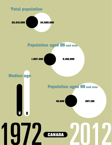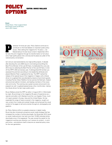## **policy options Editor: Bruce Wallace**

**Event**

**Tribute Dinner: "Peter Lougheed Voted Best Premier of the Last 40 Years" June 6, 2012, Calgary**

whished 10 times per year, *Policy Options* continues to contribute to informed debate on important public policy issues. After editing the magazine for 10 years, L. lan Macdonald put his last issue to bed in September 201 contribute to informed debate on important public policy issues. After editing the magazine for 10 years, L. Ian Macdonald put his last issue to bed in September 2012. Ian saw the print magazine through its transformation to full colour and a high-quality glossy look, and secured its place as a pillar of the national policy conversation.

Ian's tenure was bookended by two high-profile projects. A decade after devoting the June 2003 issue to nominating and profiling the Best Prime Minister of the Last 50 Years, he dedicated the June-July 2012 issue to selecting the Best Premier of the Last 40 Years, to kick off the IRPP's 40th-anniversary year. A distinguished 30-member jury assessed the premiers according to nine leadership attributes and placed Alberta's Peter Lougheed at the top. The IRPP marked the release of the special issue of the magazine in Calgary with a tribute dinner to Lougheed that was attended by dozens of prominent guests, including Premier Alison Redford, former premier Ed Stelmach, federal and provincial cabinet ministers, and leading members of the corporate community. The evening was a great success and proved to be poignant as well: Lougheed passed away a few months later, making the tribute dinner his last major public event.

Bruce Wallace joined the IRPP as editor in August 2012. A Montrealer by origin, Bruce brings to the magazine 30 years of experience as a reporter and editor with *Maclean's* and the *Los Angeles Times*, much of it spent posted in Europe, Asia and the United States. He has expanded the range of topics covered in the magazine, sought out new writers from inside and outside Canada, and enhanced the visual content of its pages to tell some stories through art, photography and graphics.

As *Policy Options* shifts to a greater presence in digital media, Bruce has also introduced a proactive social media strategy that has increased the number of article downloads: the November 2012 issue on social media activism has had more than 72,000 individual article downloads since it first appeared. The year sowed the seeds for the magazine's exciting new direction, as it renews its content – in print and online – and positions itself to become an essential policy voice for the next generation.

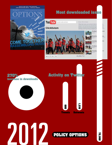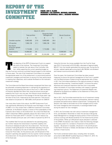# **REPORT OF THE INVESTMENT COMMITTEE**

#### **Chair: Ian D. Clark Members: Lea Hansen, Michael Koerner, Barbara McDougall and L. Jacques Ménard**

|                                            |                                                        |      | March 31, 2013           |                          |                |      |
|--------------------------------------------|--------------------------------------------------------|------|--------------------------|--------------------------|----------------|------|
|                                            | <b>Burgundy Asset</b><br>Management<br>Total portfolio |      | Beutel Goodman           |                          |                |      |
|                                            | $\mathcal{S}$                                          | $\%$ | \$                       | $\%$                     | $\mathcal{L}$  | $\%$ |
| Canadian equities                          | 9,983,905                                              | 27.6 | 9,983,905                | 39.4                     | -              | -    |
| US equities                                | 7,655,136                                              | 21.1 | 7,655,136                | 30.2                     | $\overline{a}$ | -    |
| Non-North<br>American (global)<br>equities | 7,710,955                                              | 21.3 | 7,710,955                | 30.4                     |                | ۰    |
| Fixed income                               | 10,060,581                                             | 30   | $\overline{\phantom{a}}$ | $\overline{\phantom{a}}$ | 10,060,581     | 100  |
| Total                                      | 35,410,577                                             | 100  | 25,349,996               | 100                      | 10,060,581     | 100  |

The objective of the IRPP's Endowment Fund is to support<br>the work of the Institute. The Investment Committee<br>seeks to maintain the real value of the Fund after infla-<br>tion, while supporting the current operating budget so<br> the work of the Institute. The Investment Committee seeks to maintain the real value of the Fund after inflation, while supporting the current operating budget so that the Fund can continue to provide financial support to the Institute in future years. The role of the Investment Committee is to consider the appropriate asset mix of the endowment, to recommend external investment managers and hold them to account for their performance in meeting their objectives, and to advise the Board on the Institute's investment strategy.

The Committee and the Board have always recognized that there may be potentially competing objectives in maintaining the operations of the Institute and protecting the value of the Fund. In 1987 the Board of Directors decided that rather than using the actual income generated by the Fund in any one year, the Institute would withdraw an amount equal to 5 percent of the average of the last three years' capital value of the Fund, measured at the fiscal year-end. That amount was raised to 5.5 percent for 1997-2000, and 6 percent for 2005-07.

Like most other funds of this nature, the IRPP Endowment Fund was significantly affected by the financial crisis that began in the fall of 2008. It is in this context that in 2009 the Investment Committee undertook, at the Board's request, a review of the sustainability of the 5 percent rate of draw on the endowment. As a result the Board decided in December 2009 to gradually reduce the rate of draw to 4.75 percent for fiscal years 2010-11 and 2011-12, then to reduce it by another 25 basis points per year until it falls to 4 percent by 2014-15.

The modified Yale Formula was selected for the spending policy, as it further reduces the transmission of portfolio volatility onto the amount released annually from the endowment. This formula consists of taking 80 percent of the allowable spending in the prior fiscal year, increased by the rate of inflation as measured by the Consumer Price Index, for the previous year; and 20 percent of the long-term spending rate applied to the four-quarter market average of the endowment, for the period ending December 31 prior to the start of the fiscal year.

Using this formula, the money available from the Fund for fiscal year 2012-13 amounted to \$1,815,499, a decrease of approximately \$25,571 from the transfer generated the previous year. During the fiscal year, realized capital gains amounted to \$4,785,644, and dividend and interest income amounted to \$912,206.

Over the years, the Investment Committee has taken several measures to ensure the optimal management of the Fund. In parallel with the Board process of determining the appropriate rate of draw, in 2011 the Committee embarked on the rigorous process of making explicit and documenting "investment beliefs" to ensure the policy directives and investment decisions that flow from it accurately reflect the beliefs of Committee members with respect to generating investment returns. The Statement of Investment Beliefs was adopted by the Board as an addition to the Statement of Policy and Procedures (SIP&P).

Also in 2011, the Committee examined the mix of investment managers serving the Fund: their investment philosophies, decision-making processes and performance relative to benchmark. Consequently, the decision was made to terminate two of the managers and to invest the funds managed by both temporarily in exchange-traded funds during the search for new managers.

In 2012, the Committee met with various investment management firms, and decided in November to retain the services of Burgundy Asset Management to manage the equity portion of the Fund and to continue working with Beutel Goodman for the fixed-income portion of the portfolio. While up to 80 percent equity allocation is allowed in the SIP&P, the decision was made to make the following changes to the policy asset mix: increase to 70 percent of the portfolio in equities – 30 percent in Canadian, 20 percent in US and 20 percent in Non-North American or Global; and decrease to 30 percent of the portfolio in fixed income.

The Fund's combined market value, including other net assets, amounted to \$35,469,597 (audited figure) as of March 31, 2013. Its asset mix is reported in the table above.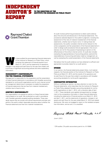## **To the Directors of the Institute for Research on Public Policy Independent Auditor's Report**



**Example 18 AM and the accompanying financial statements**<br>
of the Institute for Research on Public Policy, which<br>
comprise the statement of financial position as at<br>
March 31, 2013, and the statements of operations,<br>
chang of the Institute for Research on Public Policy, which comprise the statement of financial position as at

changes in net assets and cash flows for the year then ended, and a summary of significant accounting policies and other explanatory information.

## **Management's responsibility for the financial statements**

Management is responsible for the preparation and fair presentation of these financial statements in accordance with Canadian accounting standards for not-for-profit organizations and for such internal control as management determines is necessary to enable the preparation of financial statements that are free from material misstatement, whether due to fraud or error.

## **Auditor's responsibility**

Our responsibility is to express an opinion on these financial statements based on our audit. We conducted our audit in accordance with Canadian generally accepted auditing standards. Those standards require that we comply with ethical requirements and plan and perform the audit to obtain reasonable assurance about whether the financial statements are free from material misstatement.

An audit involves performing procedures to obtain audit evidence about the amounts and disclosures in the financial statements. The procedures selected depend on the auditor's judgment, including the assessment of the risks of material misstatement of the financial statements, whether due to fraud or error. In making those risk assessments, the auditor considers internal control relevant to the entity's preparation and fair presentation of the financial statements in order to design audit procedures that are appropriate in the circumstances, but not for the purpose of expressing an opinion on the effectiveness of the entity's internal control. An audit also includes evaluating the appropriateness of accounting policies used and the reasonableness of accounting estimates made by management, as well as evaluating the overall presentation of the financial statements.

We believe that the audit evidence we have obtained is sufficient and appropriate to provide a basis for our audit opinion.

## **Opinion**

In our opinion, the financial statements present fairly, in all material respects, the financial position of the Institute for Research on Public Policy as at March 31, 2013, and the results of its operations and its cash flows for the year then ended in accordance with Canadian accounting standards for not-for-profit organizations.

## **Comparative information**

Without modifying our opinion, we draw attention to note 3 to the financial statements, which describes that the Institute for Research on Public Policy adopted Canadian accounting standards for not-forprofit organizations on April 1, 2012, with a transition date of April 1, 2011. These standards were applied retrospectively by management to the comparative information in these financial statements, including the statements of financial position as at March 31, 2012, and April 1, 2011, and the statements of operations, changes in net assets and cash flows for the year ended March 31, 2012 and related disclosures. We were not engaged to report on the restated comparative information, and as such, it is unaudited.

Raymond Cholot Grant Thornton LLP

June 4, 2013

1 CPA auditor, CA public accountancy permit no. A110569.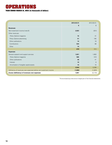

## **Year ended March 31, 2013 (in thousands of dollars)**

|                                                                   | 2013-03-31      | 2012-03-31     |
|-------------------------------------------------------------------|-----------------|----------------|
|                                                                   | \$              | $\mathfrak{L}$ |
| <b>Revenues</b>                                                   |                 |                |
| Net investment income (note 6)                                    | 2,923           | (251)          |
| Other revenues                                                    |                 |                |
| Policy Options magazine                                           | 15              | 31             |
| Policy Options advertising                                        | 51              | 165            |
| Other publications                                                | 14              | 19             |
| Contributions                                                     | 524             | 98             |
| Other                                                             | 74              |                |
|                                                                   | 678             | 313            |
| <b>Expenses</b>                                                   |                 |                |
| General research and support services                             | 1,921           | 1,653          |
| Policy Options magazine                                           | 565             | 519            |
| Other publications                                                | 36              | 41             |
| Interest                                                          | 10 <sup>1</sup> | 8              |
| Amortization of tangible capital assets                           | 12              | 15             |
|                                                                   | 2,544           | 2,236          |
| Deficiency of revenues over expenses before net investment income | (1,866)         | (1,923)        |
| Excess (deficiency) of revenues over expenses                     | 1,057           | (2, 174)       |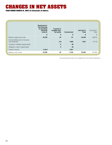# **Changes in Net Assets**

**Year ended March 31, 2013 (in thousands of dollars)**

|                                                  | <b>Restricted for</b><br>the financing<br>of operating<br>activities<br>(note 4)<br>\$ | Invested in<br>tangible capi-<br>tal assets<br>\$ | <b>Unrestricted</b><br>\$ | 2013-03-31<br><b>Total</b><br>\$ | 2012-03-31<br>Total<br>$\mathfrak{L}$ |
|--------------------------------------------------|----------------------------------------------------------------------------------------|---------------------------------------------------|---------------------------|----------------------------------|---------------------------------------|
| Balance, beginning of year                       | 34,330                                                                                 | 34                                                | 81                        | 34,445                           | 36,619                                |
| Excess (deficiency) of revenues<br>over expenses |                                                                                        | (12)                                              | 1,069                     | 1,057                            | (2, 174)                              |
| Invested in tangible capital assets              |                                                                                        | 8                                                 | (8)                       |                                  |                                       |
| Obligation under a capital lease                 |                                                                                        | 9                                                 | (9)                       |                                  |                                       |
| Transfer (note 5)                                | (1,031)                                                                                |                                                   | 1,031                     |                                  |                                       |
| Balance, end of year                             | 33,299                                                                                 | 39                                                | 2,164                     | 35,502                           | 34,445                                |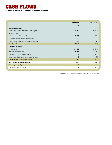# **Cash Flows**

## **Year ended March 31, 2013 (in thousands of dollars)**

|                                               | 2013-03-31 | 2012-03-31   |
|-----------------------------------------------|------------|--------------|
|                                               | \$         | $\mathbb{S}$ |
|                                               |            |              |
| <b>Operating activities</b>                   |            |              |
| Excess (deficiency) of revenues over expenses | 1,057      | (2, 174)     |
| Noncash items                                 |            |              |
| Net change in fair value of investments       | (2, 165)   | 1,183        |
| Amortization of tangible capital assets       | 12         | 15           |
| Net change in working capital items (note 7)  | (152)      | 52           |
| Cash flows from operating activities          | (1,248)    | (924)        |
| <b>Investing activities</b>                   |            |              |
| Investments                                   | (34, 101)  | (24, 903)    |
| Disposal of investments                       | 35,104     | 26,033       |
| Acquisition of tangible capital assets        | (9)        | (12)         |
| Repayment of obligation under a capital lease | (2)        | (2)          |
| Cash flows from investing activities          | 992        | 1,116        |
| Net increase (decrease) in cash               | (256)      | 192          |
| Cash, beginning of year                       | 248        | 56           |
| Cash (bank overdraft), end of year            | (8)        | 248          |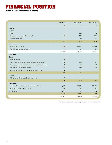## **Financial Position**

**March 31, 2013 (in thousands of dollars)**

|                                                           | 2013-03-31     | 2012-03-31     | 2011-04-01     |
|-----------------------------------------------------------|----------------|----------------|----------------|
|                                                           | \$             | $\mathfrak{S}$ | $\mathfrak{L}$ |
| <b>Assets</b>                                             |                |                |                |
| Current                                                   |                |                |                |
| Cash                                                      |                | 248            | 56             |
| Trade and other receivables (note 8)                      | 359            | 136            | 173            |
| Prepaid expenses                                          | 22             | 30             | 21             |
|                                                           | 381            | 414            | 250            |
| Long-term                                                 |                |                |                |
| Investments (note 9)                                      | 35,469         | 34,307         | 36,620         |
| Tangible capital assets (note 10)                         | 31             | 34             | 24             |
|                                                           | 35,881         | 34,755         | 36,894         |
| <b>Liabilities</b>                                        |                |                |                |
| Current                                                   |                |                |                |
| Bank overdraft                                            | 8              |                |                |
| Trade payables and other operating liabilities (note 12)  | 220            | 100            | 117            |
| Subscription and advertising revenue collected in advance | 53             | 53             | 50             |
| Deferred contributions (note 13)                          | 89             | 146            | 108            |
| Current portion of obligation under a capital lease       | $\overline{2}$ | 2              |                |
|                                                           | 372            | 301            | 275            |
| Long-term                                                 |                |                |                |
| Obligation under a capital lease (note 14)                | $\overline{7}$ | 9              |                |
|                                                           | 379            | 310            | 275            |
| <b>Net assets</b>                                         |                |                |                |
| Restricted for the financing of operating activities      | 33,299         | 34,330         | 36,422         |
| Invested in tangible capital assets                       | 39             | 34             | 24             |
| Unrestricted                                              | 2,164          | 81             | 173            |
|                                                           | 35,502         | 34,445         | 36,619         |
|                                                           | 35,881         | 34,755         | 36,894         |
|                                                           |                |                |                |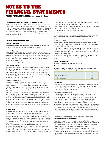# **Notes to the financial statements**

## **Year ended March 31, 2013 (in thousands of dollars)**

#### **1. GOVERNING STATUTES AND PURPOSE OF THE ORGANIZATION**

The Institute for Research on Public Policy is incorporated under part II of the *Canada Corporations Act*. Its mission is to improve public policy in Canada by generating research, providing insight and sparking debate that will contribute to the public policy decision-making process and strengthen the quality of the public policy decisions made by Canadian governments, citizens, institutions and organizations. It is a registered charity under the *Income Tax Act*.

#### **2. SIGNIFICANT ACCOUNTING POLICIES**

#### **Basis of presentation**

The Organization's financial statements are prepared in accordance with Canadian accounting standards for not-for-profit organizations.

#### **Accounting estimates**

The preparation of financial statements requires management to make estimates and assumptions that affect the amounts recorded in the financial statements and notes to financial statements. These estimates are based on management's best knowledge of current events and actions that the Organization may undertake in the future. Actual results may differ from these estimates.

#### **Financial assets and liabilities**

#### *Initial measurement*

Upon initial measurement, the Organization's financial assets and liabilities are measured at fair value, which, in the case of financial assets or financial liabilities that will be measured subsequently at amortized cost, is increased or decreased by the amount of the related financing fees and transaction costs. Transaction costs relating to financial assets and liabilities that will be measured subsequently at fair value are recognized in operations in the year they are incurred.

#### *Subsequent measurement*

At each reporting date, the Organization measures its financial assets and liabilities at amortized cost (including any impairment in the case of financial assets). Exceptions to this are pooled fund and share investments, which are measured at fair value, and bond investments, which the Organization has elected to measure at fair value by designating that fair value measurement shall apply.

With respect to financial assets measured at amortized cost, the Organization assesses whether there are any indications of impairment. When there is an indication of impairment, and if the Organization determines that during the year there was a significant adverse change in the expected timing or amount of future cash flows from a financial asset, it will then recognize a reduction as an impairment loss in operations. The reversal of a previously recognized impairment loss on a financial asset measured at amortized cost is recognized in operations in the year the reversal occurs.

#### **Revenue recognition**

#### *Contributions*

The Organization follows the deferral method of accounting for contributions. Under this method, contributions that are restricted for a future period of expenses are deferred and are recognized as revenue in the year in which the related expenses are incurred. Unrestricted contributions are recognized as revenue when received or receivable if the amount to be received can be reasonably estimated and collection is reasonably assured. Endowment contributions are reported as direct increases in net assets.

#### *Advertising, magazine and other publications revenue*

Advertising, magazine and other publications revenue is recognized once there is an agreement between the parties, the price is fixed or determinable and collection is reasonably assured. In addition to the general principles described above, the Organization applies the following specific principles:

- Advertising revenue is recognized on a straight-line basis over the duration of the contract, once advertising is edited;
- Magazine and other publications revenue is recognized on a straight-line basis over the duration of subscriptions;
- Other revenue is recognized when it is earned.

#### *Net investment income*

Investment transactions are recorded on the transaction date, and resulting revenues are recognized using the accrual method of accounting.

Net investment income includes interest income, dividend income and changes in fair value.

Interest income is recognized on a time apportionment basis, dividend income is recognized as of the ex-dividend date, and changes in fair value are recognized when they occur.

With respect to investments measured at fair value, the Organization has elected to include in changes in fair value interest income (including amortization of bond investment premiums and discounts) and the interest in net income of pooled funds.

Net investment income that is not subject to externally imposed restrictions is recognized in the statement of operations under net investment income.

#### **Tangible capital assets**

Tangible capital assets acquired are recorded at cost.

#### *Amortization*

Tangible capital assets are amortized on a straight-line basis over their estimated useful lives at the following annual rates:

|                    | <b>Rates</b> |
|--------------------|--------------|
| Computer equipment | 33%          |
| Office equipment   | 20%          |

#### *Write-down*

When the Organization recognizes that a tangible capital asset no longer has any long-term service potential, the excess of net carrying amount of the tangible capital asset over its residual value is recognized as an expense in the statement of operations.

#### **Foreign currency translation**

The Organization uses the temporal method to translate transactions denominated in a foreign currency. Under this method, monetary assets and liabilities are translated at the exchange rate in effect at the balance sheet date. Non-monetary assets and liabilities are translated at historical exchange rates, with the exception of those recognized at fair value, which are translated at the exchange rate in effect at the balance sheet date. Revenues and expenses are translated at the exchange rate in effect on the date they are recognized, with the exception of the amortization of tangible capital assets translated at the historical exchange rates which is translated at the same exchange rates as the related assets. The related exchange gains and losses are recognized in the statement of operations for the year.

#### **3. FIRST-TIME ADOPTION OF CANADIAN ACCOUNTING STANDARDS FOR NOT-FOR-PROFIT ORGANIZATIONS**

These financial statements are the Organization's first financial statements prepared using new Canadian accounting standards for not-for-profit organizations (hereafter the "new accounting standards"). The date of transition to the new accounting standards is April 1, 2011.

The accounting policies presented in Note 2 and resulting from the application of the new accounting standards were used to prepare the financial statements for the year ended March 31, 2013, the comparative information and the opening statement of financial position as at the date of transition.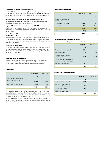## **Exemptions relating to first-time adoption**

Section 1501, First-time Adoption by Not-for-profit Organizations, contains exemptions to full retrospective application that the Organization may use upon transition. The Organization applied the following optional exemption:

### *Designation of previously recognized financial instruments*

On the date of transition, the Organization elected to designate certain financial assets to be measured at fair value.

#### **Impact of transition on net assets as at April 1, 2011**

The impact of the transition to the new accounting standards on the Organization's net assets at the date of transition, that is April 1, 2011, is not significant.

#### **Reconciliation of deficiency of revenues over expenses as at March 31, 2012**

The deficiency of revenues over expenses as at March 31, 2012, determined using the new accounting standards, is approximately equivalent to that determined using the previous accounting standards (prechangeover accounting standards).

#### **Statement of cash flows**

Accounting standards regarding cash flows included in the new accounting standards are similar to those included in the previous accounting standards. The Organization has not made any major adjustment to the statement of cash flows.

#### **4. RESTRICTIONS ON NET ASSETS**

The net assets restricted for the financing of operating activities, and subject to internally imposed restrictions by the Board of Directors, must be maintained to finance the Organization's operating activities.

#### **5. TRANSFER**

|                                                              | 2013-03-31<br>S | 2012-03-31 |
|--------------------------------------------------------------|-----------------|------------|
| Amount obtained from the<br>formula of endowment<br>spending | 1,892           | 1,841      |
| Net investment income (a)                                    | 2,923           | (251)      |
|                                                              | (1,031)         | 2.092      |

To finance the operating activities of the Organization, the Board of Directors authorizes an annual transfer of resources from restricted net assets to unrestricted net assets. This transfer of resources is determined using a formula approved by the Board of Directors.

(a) The decrease in value in the restricted account and the offsetting amount that is unrestricted include the unrealized gain during the year on the assets in the restricted account.

#### **6. NET INVESTMENT INCOME**

|                                       | 2013-03-31 | 2012-03-31 |
|---------------------------------------|------------|------------|
|                                       | \$         | \$         |
| Investments measured<br>at fair value |            |            |
| Changes in fair value                 | 2,408      | (760)      |
| <b>Dividends</b>                      | 658        | 694        |
|                                       | 3,066      | (66)       |
| Transaction costs                     | (143)      | (185)      |
|                                       | 2,923      | (251)      |

### **7. INFORMATION INCLUDED IN CASH FLOWS**

The net change in working capital items is detailed as follows:

|                                                              | 2013-03-31 | 2012-03-31 |
|--------------------------------------------------------------|------------|------------|
|                                                              | \$         | \$         |
| Trade and other receivables                                  | (223)      | 37         |
| Prepaid expenses                                             | 8          | (9)        |
| Trade payables and other<br>operating liabilities            | 120        | (17)       |
| Subscription and advertising<br>revenue collected in advance |            | 3          |
| Deferred contributions                                       | (57)       | 38         |
|                                                              | (152)      | 52         |

## **8. TRADE AND OTHER RECEIVABLES**

|                                                   | 2013-03-31 | 2012-03-31 |
|---------------------------------------------------|------------|------------|
|                                                   | \$         | S          |
| Trade accounts receivable                         | 179        | 40         |
| Accounts receivable on<br>disposal of investments | 113        |            |
| Sales taxes receivable                            | 67         | 45         |
| Dividends receivable                              |            | 51         |
|                                                   | 359        | 136        |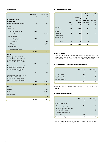#### **9. INVESTMENTS**

|                                                                                                                                   | 2013-03-31 | 2012-03-31 |
|-----------------------------------------------------------------------------------------------------------------------------------|------------|------------|
|                                                                                                                                   | \$         | \$         |
| <b>Equities and other</b><br>investments                                                                                          |            |            |
| Pooled money market funds                                                                                                         | 30         | 157        |
| <b>Shares</b>                                                                                                                     |            |            |
| Canadian                                                                                                                          |            |            |
| Pooled equity funds                                                                                                               | 9,984      |            |
| Ishares funds                                                                                                                     |            | 9,418      |
| <b>United States</b>                                                                                                              |            |            |
| Pooled equity funds                                                                                                               | 7,655      |            |
| Ishares funds                                                                                                                     |            | 3,261      |
| ETF trust                                                                                                                         |            | 4,274      |
| Other foreign                                                                                                                     |            |            |
| Pooled equity funds                                                                                                               | 7,711      |            |
|                                                                                                                                   | 25,380     | 17,110     |
| <b>Bonds</b>                                                                                                                      |            |            |
| Federal government, 1.5% to<br>4.25% (1.5% to 4.8% in 2012),<br>maturing on different dates<br>from June 2013 to December<br>2044 | 4,829      | 2,678      |
| Provincial government, 4.25%<br>to 5.7% (3.25% to 8.5% in<br>2012), maturing on different<br>dates from June 2014 to June<br>2040 | 251        | 197        |
| Corporations, 2.05% to 12.2%<br>(3.3% to 12.2% in 2012),<br>maturing on different dates<br>from May 2013 to November<br>2052      | 5,009      | 3,660      |
|                                                                                                                                   | 10,089     | 6,535      |
| <b>Shares</b>                                                                                                                     |            |            |
| Canadian                                                                                                                          |            | 7,049      |
| <b>United States</b>                                                                                                              |            | 3,337      |
| Other foreign                                                                                                                     |            | 276        |
|                                                                                                                                   |            | 10,662     |
|                                                                                                                                   | 35,469     | 34,307     |

#### **10. TANGIBLE CAPITAL ASSETS**

|                              | Cost<br>\$      | Accumu-<br>lated<br>amortiza-<br>tion<br>\$ | 2013-<br>$03 - 31$<br><b>Net</b><br>carrying<br>amount<br>\$ | $2012 -$<br>03-31<br><b>Net</b><br>carrying<br>amount<br>\$ |
|------------------------------|-----------------|---------------------------------------------|--------------------------------------------------------------|-------------------------------------------------------------|
| Computer<br>equipment        | 380             | 369                                         | 11                                                           | 13                                                          |
| Office<br>equipment          | 140             | 129                                         | 11                                                           | 10                                                          |
| Asset under<br>capital lease |                 |                                             |                                                              |                                                             |
| Office<br>equipment          | 12 <sup>2</sup> | 3                                           | 9                                                            | 11                                                          |
|                              | 532             | 501                                         | 31                                                           | 34                                                          |

## **11. LINE OF CREDIT**

The line of credit, for an authorized amount of \$500, is unsecured, bears interest at prime rate plus 1% (1% in 2012) and is renegotiable in September 2013. The line of credit was not used as at March 31, 2013, and March 31, 2012.

## **12. TRADE PAYABLES AND OTHER OPERATING LIABILITIES**

|                  | 2013-03-31 | 2012-03-31 |
|------------------|------------|------------|
|                  | S          | \$         |
| Trade payables   | 191        | 71         |
| Salaries payable | 15         | 16         |
| Benefits payable | 14         | 13         |
|                  | 220        | 100        |

Government remittances total \$14 as March 31, 2013 (\$13 as at March 31, 2012).

#### **13. DEFERRED CONTRIBUTIONS**

|                                                    | 2013-03-31 | 2012-03-31 |
|----------------------------------------------------|------------|------------|
|                                                    | S          | \$         |
| Fifth Decade Fund                                  |            |            |
| Balance, beginning of year                         | 146        | 108        |
| Amount received relating to<br>the following years |            | 38         |
| Amount recognized in<br>operations                 | (57)       |            |
| Balance, end of year                               | 89         | 146        |

The Fifth Decade Fund represents amounts received and restricted for purposes specified by the president.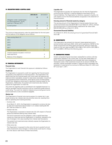#### **14. OBLIGATION UNDER A CAPITAL LEASE**

|                                                                                               | 2013-03-31 | 2012-03-31 |
|-----------------------------------------------------------------------------------------------|------------|------------|
| Obligation under a capital lease<br>for office equipment, 10.4%,<br>expiring in February 2017 | 9          | 11         |
| Current portion                                                                               | 2          | 2          |
|                                                                                               |            | 9          |

The minimum lease payments under the capital lease for the next years and the balance of the obligation are as follows:

| Years ending March 31                                  | \$             |
|--------------------------------------------------------|----------------|
| 2014                                                   | 3              |
| 2015                                                   | 3              |
| 2016                                                   | 3              |
| 2017                                                   | $\overline{2}$ |
| Total minimum lease payments                           | 11             |
| Interest expense included in minimum<br>lease payments | 2              |
| Balance of the obligation                              | 9              |

#### **15. FINANCIAL INSTRUMENTS**

#### **Financial risks**

The Organization's main financial risk exposure is detailed as follows:

#### *Credit risk*

The Organization is exposed to credit risk regarding the financial assets recognized in the statement of financial position. The Organization has determined that the financial assets with more credit risk exposure are trade and other receivables, except for sales taxes receivable, mutual fund and corporations bond investments, since failure of any of these parties to fulfill their obligations could result in significant financial losses for the Organization. Additionally, the pooled fund investments also indirectly expose the Organization to credit risk.

The credit risk regarding cash is considered to be negligible because it is held by reputable financial institutions with an investment grade external credit rating. The credit risk related to federal and provincial governments bond investments is also considered negligible.

#### *Market risk*

The Organization's financial instruments expose it to market risk, in particular currency risk, interest rate risk and other price risk, resulting from both its operating and investing activities:

– Currency risk:

As at March 31, 2013, the Organization is exposed to currency risk due to cash and investments denominated in U.S. dollars totalling \$3,794 (\$11,354 as at March 31, 2012).

– Interest rate risk:

The Organization is exposed to interest rate risk with respect to financial assets and liabilities bearing fixed interest rates.

The bond investments and the obligation under a capital lease bear interest at a fixed rate and the Organization is, therefore, exposed to the risk of changes in fair value resulting from interest rate fluctuations.

The pooled fund investments also indirectly expose the Organization to interest rate risk;

– Other price risk:

The Organization is exposed to other price risk due to pooled fund and share investments since changes in market prices could result in changes in fair value or cash flows of these instruments.

#### *Liquidity risk*

The Organization's liquidity risk represents the risk that the Organization could encounter difficulty in meeting obligations associated with its financial liabilities. The Organization is, therefore, exposed to liquidity risk with respect to all of the financial liabilities recognized in the statement of financial position.

### **Carrying amount of financial assets by category**

The carrying amount of the Organization's financial assets that are measured at amortized cost totals \$378 (\$417 as at March 31, 2012), whereas the carrying amount of financial assets measured at fair value totals \$35,332 (\$34,229 as at March 31, 2012).

### **Guaranteed financial liabilities**

As at March 31, 2013, the carrying amount of guaranteed financial liabilities is \$9.

#### **16. COMMITMENTS**

The Organization has entered into long-term lease agreements and a service contract expiring by 2022, which call for payments of \$705 for the rental of equipment and office space and services. Minimum lease payments for the next years are \$83 in 2014, \$80 in 2015, \$79 in 2016, \$83 in 2017 and \$380 in 2018 and the following years.

#### **17. COMPARATIVE FIGURES**

Certain comparative figures have been reclassified to conform with the presentation adopted in the current year. For the year ended March 31, 2012, Investment management and custodial fees were reclassed as Transaction costs in Net investment income for an amount of \$185. Additionally, Interest receivable included in Trade and other receivables was reclassed in Investments for an amount of \$78 as at March 31, 2012, and \$71 as at April 1, 2011.